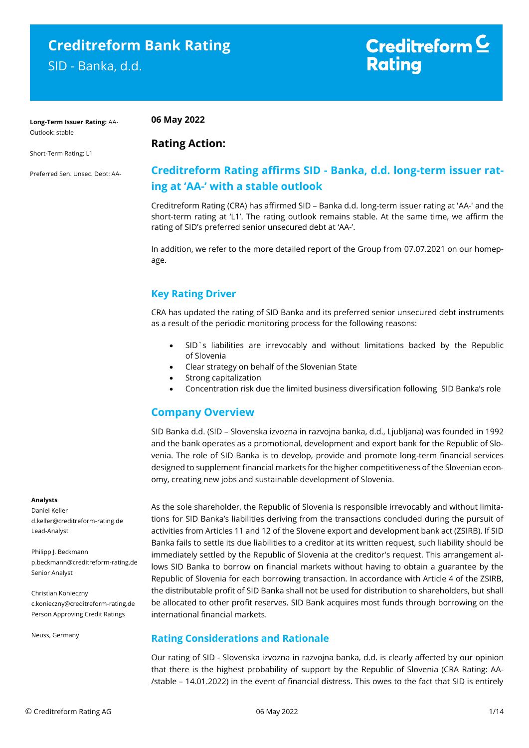## **Creditreform Bank Rating**

SID - Banka, d.d.

## Creditreform  $\subseteq$ **Rating**

**Long-Term Issuer Rating:** AA-Outlook: stable

**06 May 2022**

**Rating Action:** 

Short-Term Rating: L1

Preferred Sen. Unsec. Debt: AA-

#### **Creditreform Rating affirms SID - Banka, d.d. long-term issuer rating at 'AA-' with a stable outlook**

Creditreform Rating (CRA) has affirmed SID – Banka d.d. long-term issuer rating at 'AA-' and the short-term rating at 'L1'. The rating outlook remains stable. At the same time, we affirm the rating of SID's preferred senior unsecured debt at 'AA-'.

In addition, we refer to the more detailed report of the Group from 07.07.2021 on our homepage.

#### **Key Rating Driver**

CRA has updated the rating of SID Banka and its preferred senior unsecured debt instruments as a result of the periodic monitoring process for the following reasons:

- SID`s liabilities are irrevocably and without limitations backed by the Republic of Slovenia
- Clear strategy on behalf of the Slovenian State
- Strong capitalization
- Concentration risk due the limited business diversification following SID Banka's role

#### **Company Overview**

SID Banka d.d. (SID – Slovenska izvozna in razvojna banka, d.d., Ljubljana) was founded in 1992 and the bank operates as a promotional, development and export bank for the Republic of Slovenia. The role of SID Banka is to develop, provide and promote long-term financial services designed to supplement financial markets for the higher competitiveness of the Slovenian economy, creating new jobs and sustainable development of Slovenia.

#### **Analysts**

Daniel Keller d.keller@creditreform-rating.de Lead-Analyst

Philipp J. Beckmann p.beckmann@creditreform-rating.de Senior Analyst

Christian Konieczny c.konieczny@creditreform-rating.de Person Approving Credit Ratings

Neuss, Germany

As the sole shareholder, the Republic of Slovenia is responsible irrevocably and without limitations for SID Banka's liabilities deriving from the transactions concluded during the pursuit of activities from Articles 11 and 12 of the Slovene export and development bank act (ZSIRB). If SID Banka fails to settle its due liabilities to a creditor at its written request, such liability should be immediately settled by the Republic of Slovenia at the creditor's request. This arrangement allows SID Banka to borrow on financial markets without having to obtain a guarantee by the Republic of Slovenia for each borrowing transaction. In accordance with Article 4 of the ZSIRB, the distributable profit of SID Banka shall not be used for distribution to shareholders, but shall be allocated to other profit reserves. SID Bank acquires most funds through borrowing on the international financial markets.

#### **Rating Considerations and Rationale**

Our rating of SID - Slovenska izvozna in razvojna banka, d.d. is clearly affected by our opinion that there is the highest probability of support by the Republic of Slovenia (CRA Rating: AA- /stable – 14.01.2022) in the event of financial distress. This owes to the fact that SID is entirely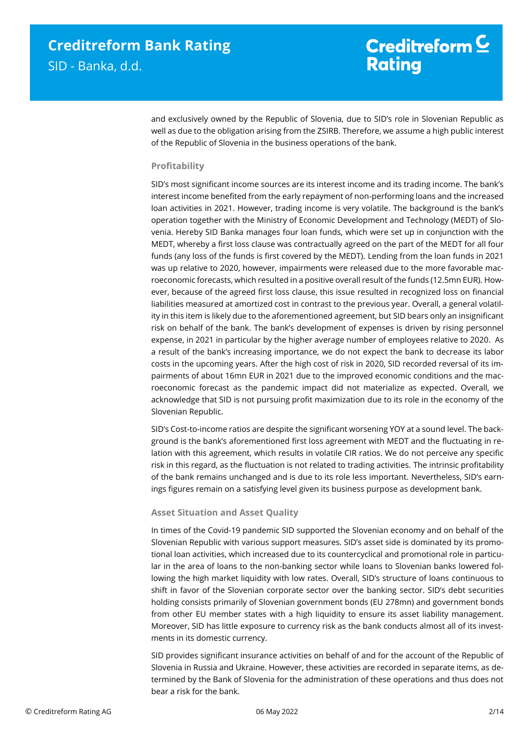## Creditreform  $C$ **Rating**

and exclusively owned by the Republic of Slovenia, due to SID's role in Slovenian Republic as well as due to the obligation arising from the ZSIRB. Therefore, we assume a high public interest of the Republic of Slovenia in the business operations of the bank.

#### **Profitability**

SID's most significant income sources are its interest income and its trading income. The bank's interest income benefited from the early repayment of non-performing loans and the increased loan activities in 2021. However, trading income is very volatile. The background is the bank's operation together with the Ministry of Economic Development and Technology (MEDT) of Slovenia. Hereby SID Banka manages four loan funds, which were set up in conjunction with the MEDT, whereby a first loss clause was contractually agreed on the part of the MEDT for all four funds (any loss of the funds is first covered by the MEDT). Lending from the loan funds in 2021 was up relative to 2020, however, impairments were released due to the more favorable macroeconomic forecasts, which resulted in a positive overall result of the funds (12.5mn EUR). However, because of the agreed first loss clause, this issue resulted in recognized loss on financial liabilities measured at amortized cost in contrast to the previous year. Overall, a general volatility in this item is likely due to the aforementioned agreement, but SID bears only an insignificant risk on behalf of the bank. The bank's development of expenses is driven by rising personnel expense, in 2021 in particular by the higher average number of employees relative to 2020. As a result of the bank's increasing importance, we do not expect the bank to decrease its labor costs in the upcoming years. After the high cost of risk in 2020, SID recorded reversal of its impairments of about 16mn EUR in 2021 due to the improved economic conditions and the macroeconomic forecast as the pandemic impact did not materialize as expected. Overall, we acknowledge that SID is not pursuing profit maximization due to its role in the economy of the Slovenian Republic.

SID's Cost-to-income ratios are despite the significant worsening YOY at a sound level. The background is the bank's aforementioned first loss agreement with MEDT and the fluctuating in relation with this agreement, which results in volatile CIR ratios. We do not perceive any specific risk in this regard, as the fluctuation is not related to trading activities. The intrinsic profitability of the bank remains unchanged and is due to its role less important. Nevertheless, SID's earnings figures remain on a satisfying level given its business purpose as development bank.

#### **Asset Situation and Asset Quality**

In times of the Covid-19 pandemic SID supported the Slovenian economy and on behalf of the Slovenian Republic with various support measures. SID's asset side is dominated by its promotional loan activities, which increased due to its countercyclical and promotional role in particular in the area of loans to the non-banking sector while loans to Slovenian banks lowered following the high market liquidity with low rates. Overall, SID's structure of loans continuous to shift in favor of the Slovenian corporate sector over the banking sector. SID's debt securities holding consists primarily of Slovenian government bonds (EU 278mn) and government bonds from other EU member states with a high liquidity to ensure its asset liability management. Moreover, SID has little exposure to currency risk as the bank conducts almost all of its investments in its domestic currency.

SID provides significant insurance activities on behalf of and for the account of the Republic of Slovenia in Russia and Ukraine. However, these activities are recorded in separate items, as determined by the Bank of Slovenia for the administration of these operations and thus does not bear a risk for the bank.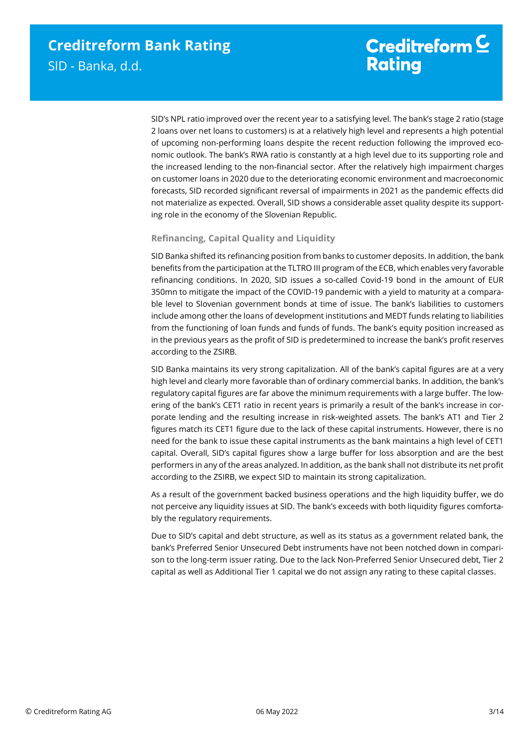## Creditreform  $\mathsf{\underline{\mathsf{C}}}$ **Rating**

SID's NPL ratio improved over the recent year to a satisfying level. The bank's stage 2 ratio (stage 2 loans over net loans to customers) is at a relatively high level and represents a high potential of upcoming non-performing loans despite the recent reduction following the improved economic outlook. The bank's RWA ratio is constantly at a high level due to its supporting role and the increased lending to the non-financial sector. After the relatively high impairment charges on customer loans in 2020 due to the deteriorating economic environment and macroeconomic forecasts, SID recorded significant reversal of impairments in 2021 as the pandemic effects did not materialize as expected. Overall, SID shows a considerable asset quality despite its supporting role in the economy of the Slovenian Republic.

#### **Refinancing, Capital Quality and Liquidity**

SID Banka shifted its refinancing position from banks to customer deposits. In addition, the bank benefits from the participation at the TLTRO III program of the ECB, which enables very favorable refinancing conditions. In 2020, SID issues a so-called Covid-19 bond in the amount of EUR 350mn to mitigate the impact of the COVID-19 pandemic with a yield to maturity at a comparable level to Slovenian government bonds at time of issue. The bank's liabilities to customers include among other the loans of development institutions and MEDT funds relating to liabilities from the functioning of loan funds and funds of funds. The bank's equity position increased as in the previous years as the profit of SID is predetermined to increase the bank's profit reserves according to the ZSIRB.

SID Banka maintains its very strong capitalization. All of the bank's capital figures are at a very high level and clearly more favorable than of ordinary commercial banks. In addition, the bank's regulatory capital figures are far above the minimum requirements with a large buffer. The lowering of the bank's CET1 ratio in recent years is primarily a result of the bank's increase in corporate lending and the resulting increase in risk-weighted assets. The bank's AT1 and Tier 2 figures match its CET1 figure due to the lack of these capital instruments. However, there is no need for the bank to issue these capital instruments as the bank maintains a high level of CET1 capital. Overall, SID's capital figures show a large buffer for loss absorption and are the best performers in any of the areas analyzed. In addition, as the bank shall not distribute its net profit according to the ZSIRB, we expect SID to maintain its strong capitalization.

As a result of the government backed business operations and the high liquidity buffer, we do not perceive any liquidity issues at SID. The bank's exceeds with both liquidity figures comfortably the regulatory requirements.

Due to SID's capital and debt structure, as well as its status as a government related bank, the bank's Preferred Senior Unsecured Debt instruments have not been notched down in comparison to the long-term issuer rating. Due to the lack Non-Preferred Senior Unsecured debt, Tier 2 capital as well as Additional Tier 1 capital we do not assign any rating to these capital classes.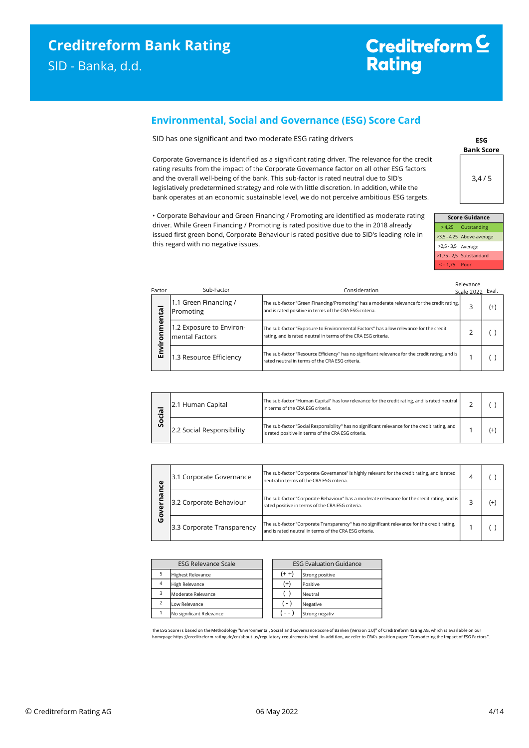#### **Environmental, Social and Governance (ESG) Score Card**

SID has one significant and two moderate ESG rating drivers

Corporate Governance is identified as a significant rating driver. The relevance for the credit rating results from the impact of the Corporate Governance factor on all other ESG factors and the overall well-being of the bank. This sub-factor is rated neutral due to SID's legislatively predetermined strategy and role with little discretion. In addition, while the bank operates at an economic sustainable level, we do not perceive ambitious ESG targets.

• Corporate Behaviour and Green Financing / Promoting are identified as moderate rating driver. While Green Financing / Promoting is rated positive due to the in 2018 already issued first green bond, Corporate Behaviour is rated positive due to SID's leading role in this regard with no negative issues.



| <b>Score Guidance</b> |                           |  |  |  |  |
|-----------------------|---------------------------|--|--|--|--|
|                       | >4,25 Outstanding         |  |  |  |  |
|                       | >3,5 - 4,25 Above-average |  |  |  |  |
| >2,5 - 3,5 Average    |                           |  |  |  |  |
|                       | $>1,75 - 2,5$ Substandard |  |  |  |  |
| $\le$ = 1.75 Poor     |                           |  |  |  |  |

Relevance

| Factor        | Sub-Factor                                                                                                                                                                                                                                                                                                  | Consideration                                                                                                                                      | 11-1-12 11 1-1-1<br>Scale 2022 Eval. |  |
|---------------|-------------------------------------------------------------------------------------------------------------------------------------------------------------------------------------------------------------------------------------------------------------------------------------------------------------|----------------------------------------------------------------------------------------------------------------------------------------------------|--------------------------------------|--|
| ntal          | 1.1 Green Financing /<br>The sub-factor "Green Financing/Promoting" has a moderate relevance for the credit rating,<br>and is rated positive in terms of the CRA ESG criteria.<br>Promoting<br>1.2 Exposure to Environ-<br>rating, and is rated neutral in terms of the CRA ESG criteria.<br>mental Factors |                                                                                                                                                    | $^{(+)}$                             |  |
| ี<br>คือ<br>ō |                                                                                                                                                                                                                                                                                                             | The sub-factor "Exposure to Environmental Factors" has a low relevance for the credit                                                              |                                      |  |
| Envi          | 1.3 Resource Efficiency                                                                                                                                                                                                                                                                                     | The sub-factor "Resource Efficiency" has no significant relevance for the credit rating, and is<br>rated neutral in terms of the CRA ESG criteria. |                                      |  |

| മ. | 2.1 Human Capital         | The sub-factor "Human Capital" has low relevance for the credit rating, and is rated neutral<br>in terms of the CRA ESG criteria.                     |  |  |
|----|---------------------------|-------------------------------------------------------------------------------------------------------------------------------------------------------|--|--|
| တိ | 2.2 Social Responsibility | The sub-factor "Social Responsibility" has no significant relevance for the credit rating, and<br>is rated positive in terms of the CRA ESG criteria. |  |  |

| ω      | The sub-factor "Corporate Governance" is highly relevant for the credit rating, and is rated<br>3.1 Corporate Governance<br>neutral in terms of the CRA ESG criteria. |                                                                                                                                                       |    |
|--------|-----------------------------------------------------------------------------------------------------------------------------------------------------------------------|-------------------------------------------------------------------------------------------------------------------------------------------------------|----|
|        | 3.2 Corporate Behaviour                                                                                                                                               | The sub-factor "Corporate Behaviour" has a moderate relevance for the credit rating, and is<br>rated positive in terms of the CRA ESG criteria.       | (+ |
| o<br>O | 3.3 Corporate Transparency                                                                                                                                            | The sub-factor "Corporate Transparency" has no significant relevance for the credit rating.<br>and is rated neutral in terms of the CRA ESG criteria. |    |

| <b>ESG Relevance Scale</b> |                          |  | <b>ESG Evaluation Guidance</b> |                |  |  |
|----------------------------|--------------------------|--|--------------------------------|----------------|--|--|
| 5                          | <b>Highest Relevance</b> |  | $(+ +)$<br>Strong positive     |                |  |  |
| $\overline{4}$             | High Relevance           |  | $^{(+)}$                       | Positive       |  |  |
| 3                          | Moderate Relevance       |  |                                | Neutral        |  |  |
| $\overline{2}$             | Low Relevance            |  | $( - )$                        | Negative       |  |  |
|                            | No significant Relevance |  |                                | Strong negativ |  |  |

The ESG Score is based on the Methodology "Environmental, Social and Governance Score of Banken (Version 1.0)" of Creditreform Rating AG, which is available on our homepage https://creditreform-rating.de/en/about-us/regulatory-requirements.html. In addition, we refer to CRA's position paper "Consodering the Impact of ESG Factors".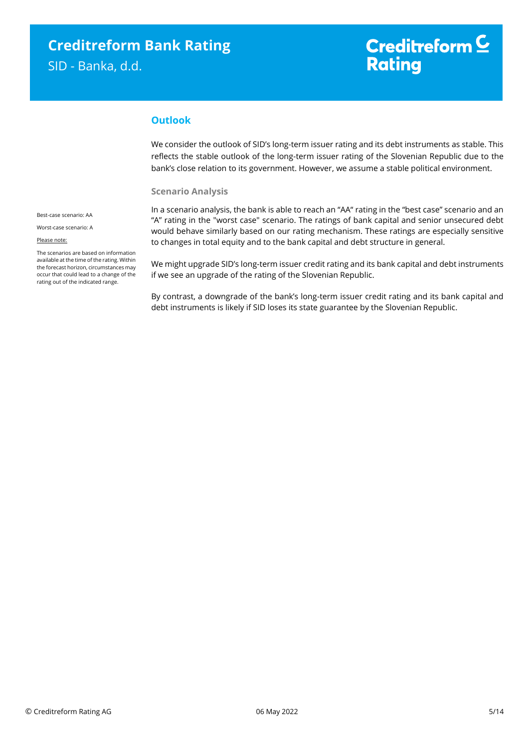## Creditreform  $\mathsf{\underline{C}}$ **Rating**

#### **Outlook**

We consider the outlook of SID's long-term issuer rating and its debt instruments as stable. This reflects the stable outlook of the long-term issuer rating of the Slovenian Republic due to the bank's close relation to its government. However, we assume a stable political environment.

#### **Scenario Analysis**

In a scenario analysis, the bank is able to reach an "AA" rating in the "best case" scenario and an "A" rating in the "worst case" scenario. The ratings of bank capital and senior unsecured debt would behave similarly based on our rating mechanism. These ratings are especially sensitive to changes in total equity and to the bank capital and debt structure in general.

We might upgrade SID's long-term issuer credit rating and its bank capital and debt instruments if we see an upgrade of the rating of the Slovenian Republic.

By contrast, a downgrade of the bank's long-term issuer credit rating and its bank capital and debt instruments is likely if SID loses its state guarantee by the Slovenian Republic.

Best-case scenario: AA

Worst-case scenario: A

#### Please note:

The scenarios are based on information available at the time of the rating. Within the forecast horizon, circumstances may occur that could lead to a change of the rating out of the indicated range.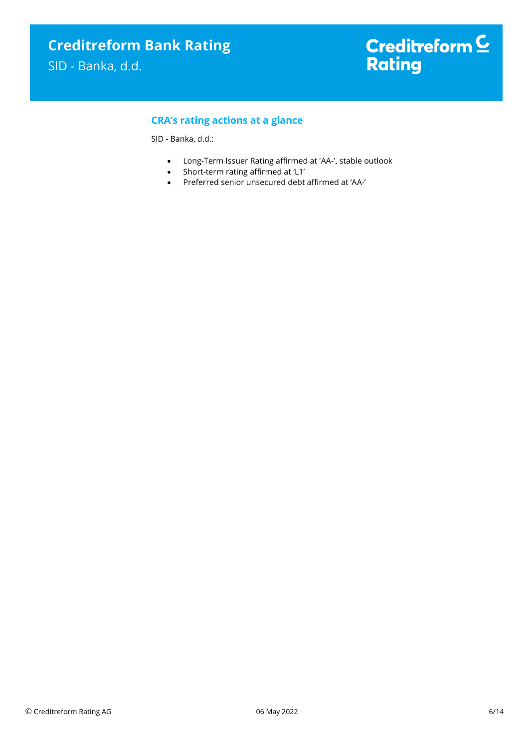#### **CRA's rating actions at a glance**

SID - Banka, d.d.:

- Long-Term Issuer Rating affirmed at 'AA-', stable outlook
- Short-term rating affirmed at 'L1'
- Preferred senior unsecured debt affirmed at 'AA-'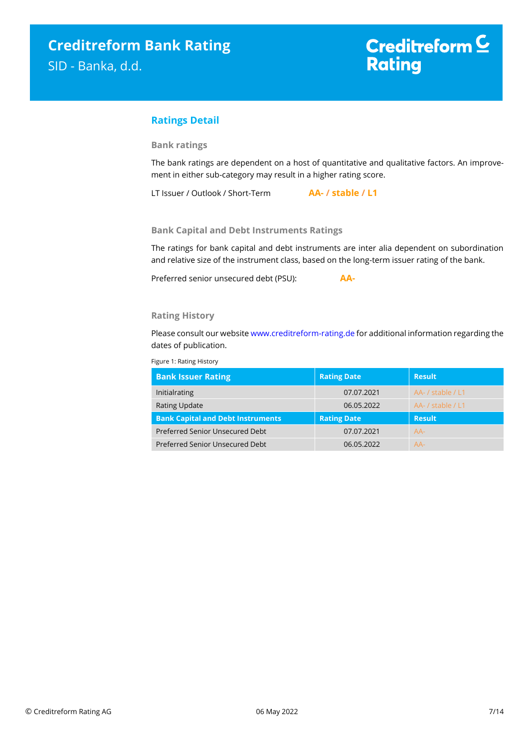#### **Ratings Detail**

#### **Bank ratings**

The bank ratings are dependent on a host of quantitative and qualitative factors. An improvement in either sub-category may result in a higher rating score.

LT Issuer / Outlook / Short-Term **AA- / stable / L1**

#### **Bank Capital and Debt Instruments Ratings**

The ratings for bank capital and debt instruments are inter alia dependent on subordination and relative size of the instrument class, based on the long-term issuer rating of the bank.

Preferred senior unsecured debt (PSU): **AA-**

**Rating History**

Please consult our websit[e www.creditreform-rating.de](http://www.creditreform-rating.de/) for additional information regarding the dates of publication.

Figure 1: Rating History

| <b>Bank Issuer Rating</b>                | <b>Rating Date</b> | <b>Result</b>     |
|------------------------------------------|--------------------|-------------------|
| Initialrating                            | 07.07.2021         | AA- / stable / L1 |
| <b>Rating Update</b>                     | 06.05.2022         | AA-/stable/L1     |
| <b>Bank Capital and Debt Instruments</b> |                    |                   |
|                                          | <b>Rating Date</b> | <b>Result</b>     |
| Preferred Senior Unsecured Debt          | 07.07.2021         | $AA-$             |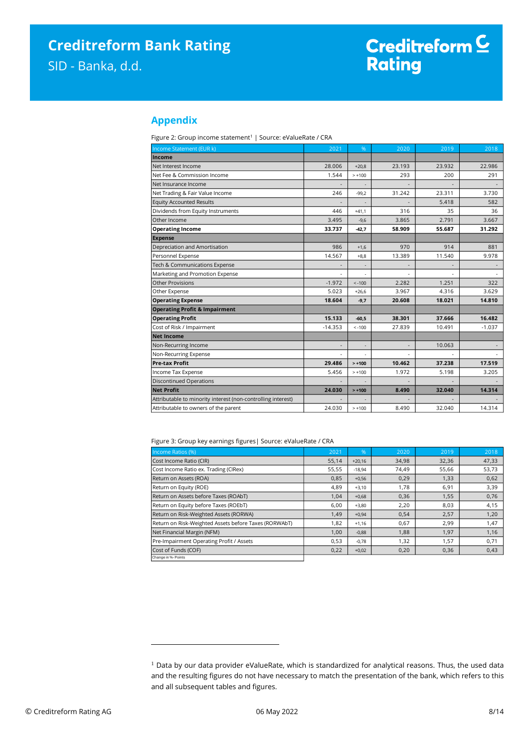#### **Appendix**

Figure 2: Group income statement<sup>1</sup> | Source: eValueRate / CRA

| Income Statement (EUR k)                                                                                                                              | 2021                     | %                        | 2020                     | 2019   | 2018     |
|-------------------------------------------------------------------------------------------------------------------------------------------------------|--------------------------|--------------------------|--------------------------|--------|----------|
| Income                                                                                                                                                |                          |                          |                          |        |          |
| Net Interest Income                                                                                                                                   | 28.006                   | $+20,8$                  | 23.193                   | 23.932 | 22.986   |
| Net Fee & Commission Income                                                                                                                           | 1.544                    | $> +100$                 | 293                      | 200    | 291      |
| Net Insurance Income                                                                                                                                  |                          | $\overline{\phantom{a}}$ |                          |        |          |
| Net Trading & Fair Value Income                                                                                                                       | 246                      | $-99,2$                  | 31.242                   | 23.311 | 3.730    |
| <b>Equity Accounted Results</b>                                                                                                                       |                          |                          |                          | 5.418  | 582      |
| Dividends from Equity Instruments                                                                                                                     | 446                      | $+41,1$                  | 316                      | 35     | 36       |
| Other Income                                                                                                                                          | 3.495                    | $-9,6$                   | 3.865                    | 2.791  | 3.667    |
| <b>Operating Income</b>                                                                                                                               | 33.737                   | $-42,7$                  | 58.909                   | 55.687 | 31.292   |
| <b>Expense</b>                                                                                                                                        |                          |                          |                          |        |          |
| Depreciation and Amortisation                                                                                                                         | 986                      | $+1,6$                   | 970                      | 914    | 881      |
| Personnel Expense                                                                                                                                     | 14.567                   | $+8,8$                   | 13.389                   | 11.540 | 9.978    |
| Tech & Communications Expense                                                                                                                         | $\overline{\phantom{a}}$ | ÷.                       | $\overline{\phantom{a}}$ |        |          |
| Marketing and Promotion Expense                                                                                                                       |                          | ÷,                       |                          |        |          |
| Other Provisions                                                                                                                                      | $-1.972$                 | $< -100$                 | 2.282                    | 1.251  | 322      |
| Other Expense                                                                                                                                         | 5.023                    | $+26,6$                  | 3.967                    | 4.316  | 3.629    |
| <b>Operating Expense</b>                                                                                                                              | 18.604                   | $-9,7$                   | 20.608                   | 18.021 | 14.810   |
| <b>Operating Profit &amp; Impairment</b>                                                                                                              |                          |                          |                          |        |          |
| <b>Operating Profit</b>                                                                                                                               | 15.133                   | $-60,5$                  | 38.301                   | 37.666 | 16.482   |
| Cost of Risk / Impairment                                                                                                                             | $-14.353$                | $< -100$                 | 27.839                   | 10.491 | $-1.037$ |
| <b>Net Income</b>                                                                                                                                     |                          |                          |                          |        |          |
| Non-Recurring Income                                                                                                                                  | $\overline{a}$           | ÷,                       |                          | 10.063 |          |
| Non-Recurring Expense                                                                                                                                 | ÷,                       | ÷,                       |                          |        |          |
| Pre-tax Profit                                                                                                                                        | 29.486                   | $> +100$                 | 10.462                   | 37.238 | 17.519   |
| Income Tax Expense                                                                                                                                    | 5.456                    | $> +100$                 | 1.972                    | 5.198  | 3.205    |
| <b>Discontinued Operations</b>                                                                                                                        | $\overline{a}$           |                          |                          |        |          |
| <b>Net Profit</b>                                                                                                                                     | 24.030                   | $> +100$                 | 8.490                    | 32.040 | 14.314   |
| Attributable to minority interest (non-controlling interest)                                                                                          |                          |                          |                          |        |          |
|                                                                                                                                                       |                          |                          |                          |        |          |
| Attributable to owners of the parent                                                                                                                  | 24.030                   | $> +100$                 | 8.490                    | 32.040 | 14.314   |
| Figure 3: Group key earnings figures   Source: eValueRate / CRA                                                                                       |                          |                          |                          |        |          |
| Income Ratios (%)                                                                                                                                     | 2021                     | %                        | 2020                     | 2019   | 2018     |
| Cost Income Ratio (CIR)                                                                                                                               | 55,14                    | $+20,16$                 | 34,98                    | 32,36  | 47,33    |
| Cost Income Ratio ex. Trading (CIRex)                                                                                                                 | 55,55                    | $-18,94$                 | 74,49                    | 55,66  | 53,73    |
| Return on Assets (ROA)                                                                                                                                | 0,85                     | $+0,56$                  | 0,29                     | 1,33   | 0,62     |
| Return on Equity (ROE)                                                                                                                                | 4,89                     | $+3,10$                  | 1,78                     | 6,91   | 3,39     |
| Return on Assets before Taxes (ROAbT)                                                                                                                 | 1,04                     | $+0,68$                  | 0,36                     | 1,55   | 0,76     |
| Return on Equity before Taxes (ROEbT)                                                                                                                 | 6,00                     | $+3,80$                  | 2,20                     | 8,03   | 4,15     |
| Return on Risk-Weighted Assets (RORWA)                                                                                                                | 1,49                     | $+0,94$                  | 0,54                     | 2,57   | 1,20     |
| Return on Risk-Weighted Assets before Taxes (RORWAbT)                                                                                                 | 1,82                     | $+1,16$                  | 0,67                     | 2,99   | 1,47     |
| Net Financial Margin (NFM)                                                                                                                            | 1,00                     | $-0,88$                  | 1,88                     | 1,97   | 1,16     |
| Pre-Impairment Operating Profit / Assets                                                                                                              | 0,53                     | $-0,78$                  | 1,32                     | 1,57   | 0,71     |
| Cost of Funds (COF)<br>Change in %- Points                                                                                                            | 0,22                     | $+0,02$                  | 0,20                     | 0,36   | 0,43     |
|                                                                                                                                                       |                          |                          |                          |        |          |
|                                                                                                                                                       |                          |                          |                          |        |          |
|                                                                                                                                                       |                          |                          |                          |        |          |
|                                                                                                                                                       |                          |                          |                          |        |          |
|                                                                                                                                                       |                          |                          |                          |        |          |
|                                                                                                                                                       |                          |                          |                          |        |          |
|                                                                                                                                                       |                          |                          |                          |        |          |
|                                                                                                                                                       |                          |                          |                          |        |          |
|                                                                                                                                                       |                          |                          |                          |        |          |
|                                                                                                                                                       |                          |                          |                          |        |          |
|                                                                                                                                                       |                          |                          |                          |        |          |
|                                                                                                                                                       |                          |                          |                          |        |          |
| <sup>1</sup> Data by our data provider eValueRate, which is standardized for analytical reasons. Thus, the used data                                  |                          |                          |                          |        |          |
| and the resulting figures do not have necessary to match the presentation of the bank, which refers to this<br>and all subsequent tables and figures. |                          |                          |                          |        |          |

| Income Ratios (%)                                     | 2021  | %        | 2020  | 2019  | 2018  |
|-------------------------------------------------------|-------|----------|-------|-------|-------|
| Cost Income Ratio (CIR)                               | 55,14 | $+20,16$ | 34,98 | 32,36 | 47,33 |
| Cost Income Ratio ex. Trading (CIRex)                 | 55,55 | $-18,94$ | 74,49 | 55,66 | 53,73 |
| Return on Assets (ROA)                                | 0,85  | $+0,56$  | 0,29  | 1,33  | 0,62  |
| Return on Equity (ROE)                                | 4,89  | $+3,10$  | 1,78  | 6,91  | 3,39  |
| Return on Assets before Taxes (ROAbT)                 | 1.04  | $+0.68$  | 0,36  | 1,55  | 0,76  |
| Return on Equity before Taxes (ROEbT)                 | 6,00  | $+3,80$  | 2,20  | 8,03  | 4,15  |
| Return on Risk-Weighted Assets (RORWA)                | 1.49  | $+0,94$  | 0,54  | 2,57  | 1,20  |
| Return on Risk-Weighted Assets before Taxes (RORWAbT) | 1,82  | $+1,16$  | 0,67  | 2,99  | 1,47  |
| Net Financial Margin (NFM)                            | 1,00  | $-0,88$  | 1,88  | 1,97  | 1,16  |
| Pre-Impairment Operating Profit / Assets              | 0,53  | $-0,78$  | 1,32  | 1,57  | 0,71  |
| Cost of Funds (COF)                                   | 0,22  | $+0,02$  | 0,20  | 0,36  | 0,43  |
| Change in %- Points                                   |       |          |       |       |       |

<sup>&</sup>lt;sup>1</sup> Data by our data provider eValueRate, which is standardized for analytical reasons. Thus, the used data and the resulting figures do not have necessary to match the presentation of the bank, which refers to this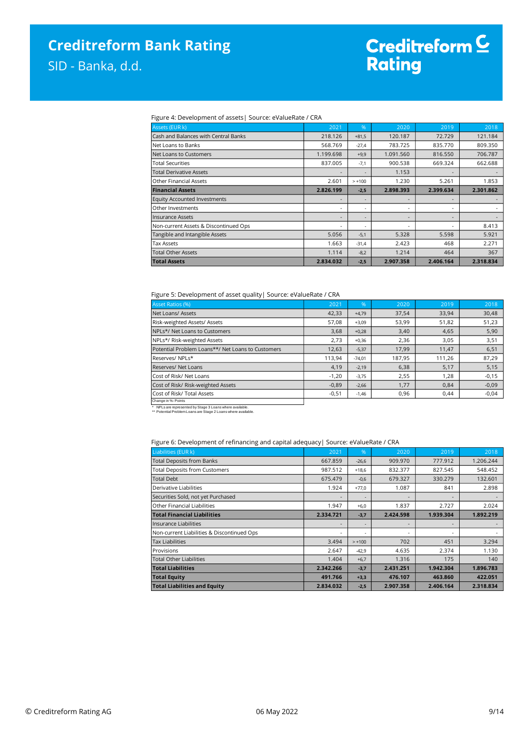# Creditreform C<br>Rating

#### Figure 4: Development of assets| Source: eValueRate / CRA

| Assets (EUR k)                        | 2021                     | $\%$                     | 2020      | 2019                     | 2018      |
|---------------------------------------|--------------------------|--------------------------|-----------|--------------------------|-----------|
| Cash and Balances with Central Banks  | 218.126                  | $+81,5$                  | 120.187   | 72.729                   | 121.184   |
| Net Loans to Banks                    | 568.769                  | $-27,4$                  | 783.725   | 835.770                  | 809.350   |
| Net Loans to Customers                | 1.199.698                | $+9,9$                   | 1.091.560 | 816.550                  | 706.787   |
| Total Securities                      | 837.005                  | $-7,1$                   | 900.538   | 669.324                  | 662.688   |
| <b>Total Derivative Assets</b>        | ٠                        |                          | 1.153     | $\overline{\phantom{0}}$ |           |
| <b>Other Financial Assets</b>         | 2.601                    | $> +100$                 | 1.230     | 5.261                    | 1.853     |
| <b>Financial Assets</b>               | 2.826.199                | $-2,5$                   | 2.898.393 | 2.399.634                | 2.301.862 |
| <b>Equity Accounted Investments</b>   | -                        |                          |           | $\overline{\phantom{0}}$ |           |
| Other Investments                     | $\overline{\phantom{a}}$ | $\overline{a}$           |           | -                        |           |
| <b>Insurance Assets</b>               | ٠                        | $\overline{\phantom{a}}$ |           | $\overline{\phantom{a}}$ |           |
| Non-current Assets & Discontinued Ops | ٠                        | $\overline{\phantom{a}}$ |           | ٠                        | 8.413     |
| Tangible and Intangible Assets        | 5.056                    | $-5,1$                   | 5.328     | 5.598                    | 5.921     |
| Tax Assets                            | 1.663                    | $-31,4$                  | 2.423     | 468                      | 2.271     |
| <b>Total Other Assets</b>             | 1.114                    | $-8,2$                   | 1.214     | 464                      | 367       |
| <b>Total Assets</b>                   | 2.834.032                | $-2,5$                   | 2.907.358 | 2.406.164                | 2.318.834 |

#### Figure 5: Development of asset quality| Source: eValueRate / CRA

| <b>Asset Ratios (%)</b>                           | 2021    | 96       | 2020   | 2019   | 2018    |
|---------------------------------------------------|---------|----------|--------|--------|---------|
| Net Loans/ Assets                                 | 42,33   | $+4.79$  | 37,54  | 33,94  | 30,48   |
| Risk-weighted Assets/ Assets                      | 57,08   | $+3,09$  | 53,99  | 51,82  | 51,23   |
| NPLs*/ Net Loans to Customers                     | 3,68    | $+0,28$  | 3,40   | 4,65   | 5,90    |
| NPLs*/ Risk-weighted Assets                       | 2,73    | $+0,36$  | 2,36   | 3,05   | 3,51    |
| Potential Problem Loans**/ Net Loans to Customers | 12,63   | $-5,37$  | 17,99  | 11.47  | 6,51    |
| Reserves/NPLs*                                    | 113,94  | $-74,01$ | 187,95 | 111,26 | 87,29   |
| Reserves/ Net Loans                               | 4,19    | $-2,19$  | 6,38   | 5,17   | 5,15    |
| Cost of Risk/ Net Loans                           | $-1,20$ | $-3,75$  | 2,55   | 1,28   | $-0,15$ |
| Cost of Risk/ Risk-weighted Assets                | $-0,89$ | $-2,66$  | 1,77   | 0,84   | $-0,09$ |
| Cost of Risk/ Total Assets                        | $-0,51$ | $-1,46$  | 0,96   | 0,44   | $-0,04$ |
| Chongo in W. Dointo                               |         |          |        |        |         |

End is a series in the series of the series of the series of the series of the series of the series of the series of the series of the series of the series of the series of the series of the series of the series of the ser \* NPLs are represented by Stage 3 Loans where available. \*\* Potential Problem Loans are Stage 2 Loans where available.

#### Figure 6: Development of refinancing and capital adequacy| Source: eValueRate / CRA

| Liabilities (EUR k)                        | 2021      | %        | 2020      | 2019      | 2018      |
|--------------------------------------------|-----------|----------|-----------|-----------|-----------|
| <b>Total Deposits from Banks</b>           | 667.859   | $-26,6$  | 909.970   | 777.912   | 1.206.244 |
| <b>Total Deposits from Customers</b>       | 987.512   | $+18.6$  | 832.377   | 827.545   | 548.452   |
| <b>Total Debt</b>                          | 675.479   | $-0,6$   | 679.327   | 330.279   | 132.601   |
| Derivative Liabilities                     | 1.924     | $+77.0$  | 1.087     | 841       | 2.898     |
| Securities Sold, not yet Purchased         |           |          |           |           |           |
| Other Financial Liabilities                | 1.947     | $+6.0$   | 1.837     | 2.727     | 2.024     |
| <b>Total Financial Liabilities</b>         | 2.334.721 | $-3,7$   | 2.424.598 | 1.939.304 | 1.892.219 |
| Insurance Liabilities                      |           |          |           |           |           |
|                                            |           |          |           |           |           |
| Non-current Liabilities & Discontinued Ops | ٠         |          |           |           |           |
| <b>Tax Liabilities</b>                     | 3.494     | $> +100$ | 702       | 451       | 3.294     |
| Provisions                                 | 2.647     | $-42.9$  | 4.635     | 2.374     | 1.130     |
| <b>Total Other Liabilities</b>             | 1.404     | $+6,7$   | 1.316     | 175       | 140       |
| <b>Total Liabilities</b>                   | 2.342.266 | $-3,7$   | 2.431.251 | 1.942.304 | 1.896.783 |
| <b>Total Equity</b>                        | 491.766   | $+3,3$   | 476.107   | 463.860   | 422.051   |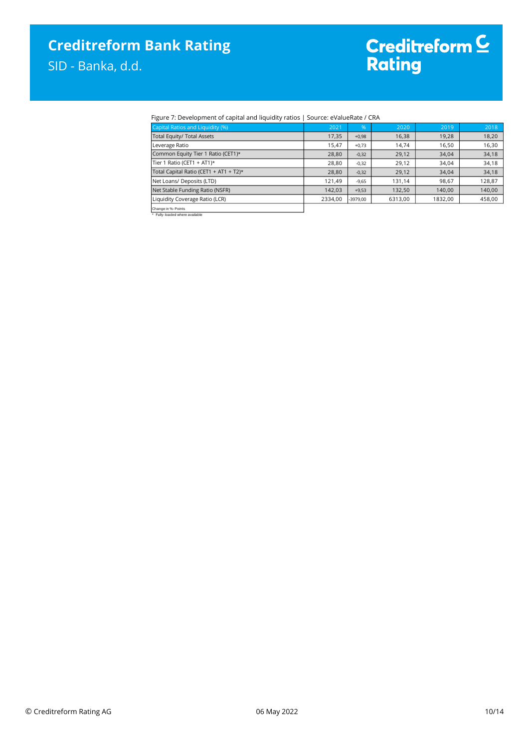# Creditreform C<br>Rating

#### Figure 7: Development of capital and liquidity ratios | Source: eValueRate / CRA

| Capital Ratios and Liquidity (%)       | 2021    | 96'        | 2020    | 2019    | 2018   |
|----------------------------------------|---------|------------|---------|---------|--------|
| Total Equity/ Total Assets             | 17,35   | $+0.98$    | 16,38   | 19,28   | 18,20  |
| Leverage Ratio                         | 15,47   | $+0.73$    | 14.74   | 16.50   | 16,30  |
| Common Equity Tier 1 Ratio (CET1)*     | 28,80   | $-0,32$    | 29,12   | 34,04   | 34,18  |
| Tier 1 Ratio (CET1 + AT1)*             | 28,80   | $-0,32$    | 29,12   | 34,04   | 34,18  |
| Total Capital Ratio (CET1 + AT1 + T2)* | 28,80   | $-0,32$    | 29,12   | 34,04   | 34,18  |
| Net Loans/ Deposits (LTD)              | 121,49  | $-9,65$    | 131.14  | 98,67   | 128,87 |
| Net Stable Funding Ratio (NSFR)        | 142,03  | $+9,53$    | 132,50  | 140,00  | 140,00 |
| Liquidity Coverage Ratio (LCR)         | 2334,00 | $-3979.00$ | 6313,00 | 1832,00 | 458,00 |
| Change in %- Points                    |         |            |         |         |        |
| Fully-loaded where available           |         |            |         |         |        |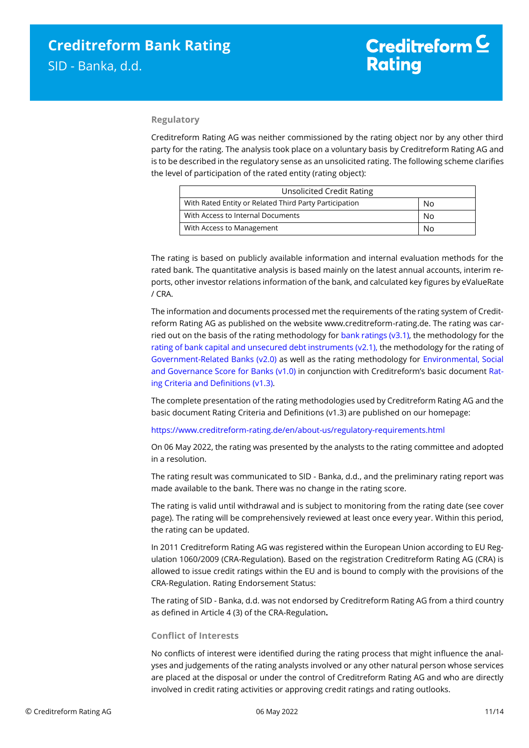#### **Regulatory**

Creditreform Rating AG was neither commissioned by the rating object nor by any other third party for the rating. The analysis took place on a voluntary basis by Creditreform Rating AG and is to be described in the regulatory sense as an unsolicited rating. The following scheme clarifies the level of participation of the rated entity (rating object):

| <b>Unsolicited Credit Rating</b>                       |    |
|--------------------------------------------------------|----|
| With Rated Entity or Related Third Party Participation | No |
| With Access to Internal Documents                      | No |
| With Access to Management                              | No |

The rating is based on publicly available information and internal evaluation methods for the rated bank. The quantitative analysis is based mainly on the latest annual accounts, interim reports, other investor relations information of the bank, and calculated key figures by eValueRate / CRA.

The information and documents processed met the requirements of the rating system of Creditreform Rating AG as published on the website www.creditreform-rating.de. The rating was carried out on the basis of the rating methodology for [bank ratings \(v3.1\),](https://www.creditreform-rating.de/en/about-us/regulatory-requirements.html?file=files/content/downloads/Externes%20Rating/Regulatorische%20Anforderungen/EN/Ratingmethodiken%20EN/CRAG%20Rating%20Methodology%20Bank%20Ratings%20v3.1%20EN.pdf) the methodology for the [rating of bank capital and unsecured debt instruments \(v2.1\),](https://www.creditreform-rating.de/en/about-us/regulatory-requirements.html?file=files/content/downloads/Externes%20Rating/Regulatorische%20Anforderungen/EN/Ratingmethodiken%20EN/CRAG%20Rating%20Methodology%20Unsecured%20Debt%20Instruments%20v2.1%20EN.pdf) the methodology for the rating of [Government-Related Banks \(v2.0\)](https://www.creditreform-rating.de/en/about-us/regulatory-requirements.html?file=files/content/downloads/Externes%20Rating/Regulatorische%20Anforderungen/EN/Ratingmethodiken%20EN/Sub-Methodology%20-%20Government-Related%20Banks.pdf) as well as the rating methodology for [Environmental, Social](https://www.creditreform-rating.de/en/about-us/regulatory-requirements.html?file=files/content/downloads/Externes%20Rating/Regulatorische%20Anforderungen/EN/Ratingmethodiken%20EN/Rating%20Methodology%20ESG%20v1.0.pdf)  [and Governance Score](https://www.creditreform-rating.de/en/about-us/regulatory-requirements.html?file=files/content/downloads/Externes%20Rating/Regulatorische%20Anforderungen/EN/Ratingmethodiken%20EN/Rating%20Methodology%20ESG%20v1.0.pdf) for Banks (v1.0) in conjunction with Creditreform's basic document [Rat](https://www.creditreform-rating.de/en/about-us/regulatory-requirements.html?file=files/content/downloads/Externes%20Rating/Regulatorische%20Anforderungen/EN/Ratingmethodiken%20EN/CRAG%20Rating%20Criteria%20and%20Definitions.pdf)[ing Criteria and Definitions \(v1.3\).](https://www.creditreform-rating.de/en/about-us/regulatory-requirements.html?file=files/content/downloads/Externes%20Rating/Regulatorische%20Anforderungen/EN/Ratingmethodiken%20EN/CRAG%20Rating%20Criteria%20and%20Definitions.pdf)

The complete presentation of the rating methodologies used by Creditreform Rating AG and the basic document Rating Criteria and Definitions (v1.3) are published on our homepage:

<https://www.creditreform-rating.de/en/about-us/regulatory-requirements.html>

On 06 May 2022, the rating was presented by the analysts to the rating committee and adopted in a resolution.

The rating result was communicated to SID - Banka, d.d., and the preliminary rating report was made available to the bank. There was no change in the rating score.

The rating is valid until withdrawal and is subject to monitoring from the rating date (see cover page). The rating will be comprehensively reviewed at least once every year. Within this period, the rating can be updated.

In 2011 Creditreform Rating AG was registered within the European Union according to EU Regulation 1060/2009 (CRA-Regulation). Based on the registration Creditreform Rating AG (CRA) is allowed to issue credit ratings within the EU and is bound to comply with the provisions of the CRA-Regulation. Rating Endorsement Status:

The rating of SID - Banka, d.d. was not endorsed by Creditreform Rating AG from a third country as defined in Article 4 (3) of the CRA-Regulation**.**

#### **Conflict of Interests**

No conflicts of interest were identified during the rating process that might influence the analyses and judgements of the rating analysts involved or any other natural person whose services are placed at the disposal or under the control of Creditreform Rating AG and who are directly involved in credit rating activities or approving credit ratings and rating outlooks.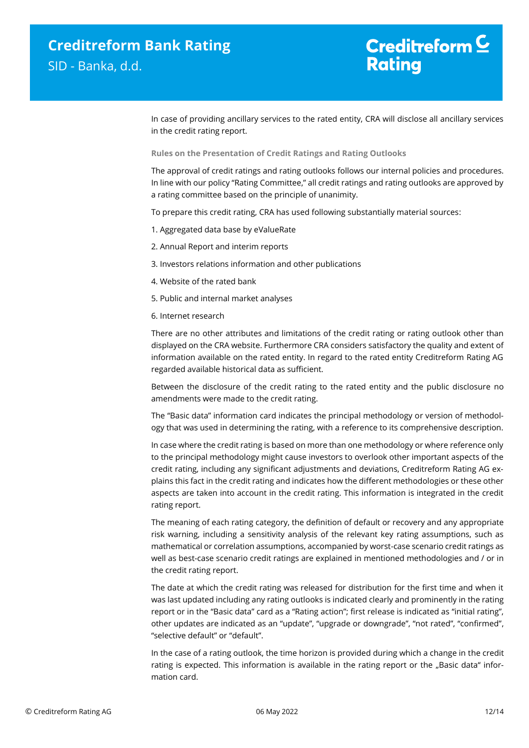## Creditreform  $\mathsf{\underline{\mathsf{C}}}$ **Rating**

In case of providing ancillary services to the rated entity, CRA will disclose all ancillary services in the credit rating report.

**Rules on the Presentation of Credit Ratings and Rating Outlooks**

The approval of credit ratings and rating outlooks follows our internal policies and procedures. In line with our policy "Rating Committee," all credit ratings and rating outlooks are approved by a rating committee based on the principle of unanimity.

To prepare this credit rating, CRA has used following substantially material sources:

- 1. Aggregated data base by eValueRate
- 2. Annual Report and interim reports
- 3. Investors relations information and other publications
- 4. Website of the rated bank
- 5. Public and internal market analyses
- 6. Internet research

There are no other attributes and limitations of the credit rating or rating outlook other than displayed on the CRA website. Furthermore CRA considers satisfactory the quality and extent of information available on the rated entity. In regard to the rated entity Creditreform Rating AG regarded available historical data as sufficient.

Between the disclosure of the credit rating to the rated entity and the public disclosure no amendments were made to the credit rating.

The "Basic data" information card indicates the principal methodology or version of methodology that was used in determining the rating, with a reference to its comprehensive description.

In case where the credit rating is based on more than one methodology or where reference only to the principal methodology might cause investors to overlook other important aspects of the credit rating, including any significant adjustments and deviations, Creditreform Rating AG explains this fact in the credit rating and indicates how the different methodologies or these other aspects are taken into account in the credit rating. This information is integrated in the credit rating report.

The meaning of each rating category, the definition of default or recovery and any appropriate risk warning, including a sensitivity analysis of the relevant key rating assumptions, such as mathematical or correlation assumptions, accompanied by worst-case scenario credit ratings as well as best-case scenario credit ratings are explained in mentioned methodologies and / or in the credit rating report.

The date at which the credit rating was released for distribution for the first time and when it was last updated including any rating outlooks is indicated clearly and prominently in the rating report or in the "Basic data" card as a "Rating action"; first release is indicated as "initial rating", other updates are indicated as an "update", "upgrade or downgrade", "not rated", "confirmed", "selective default" or "default".

In the case of a rating outlook, the time horizon is provided during which a change in the credit rating is expected. This information is available in the rating report or the "Basic data" information card.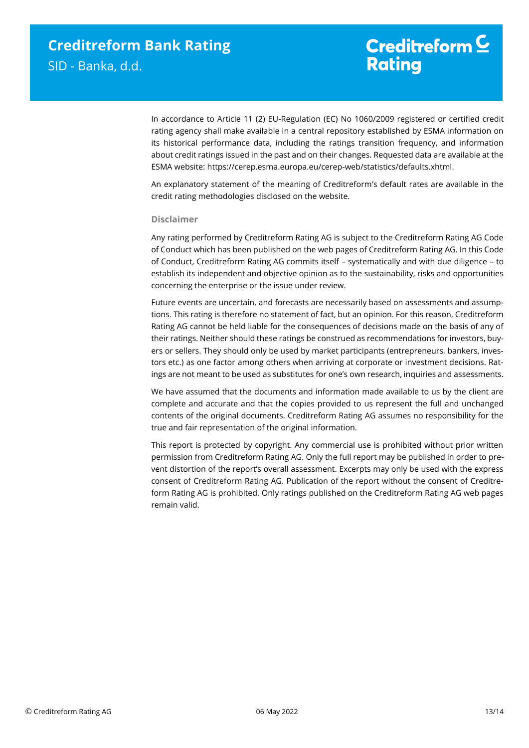### Creditreform  $\mathsf{\underline{\mathsf{C}}}$ **Rating**

In accordance to Article 11 (2) EU-Regulation (EC) No 1060/2009 registered or certified credit rating agency shall make available in a central repository established by ESMA information on its historical performance data, including the ratings transition frequency, and information about credit ratings issued in the past and on their changes. Requested data are available at the ESMA website: https://cerep.esma.europa.eu/cerep-web/statistics/defaults.xhtml.

An explanatory statement of the meaning of Creditreform's default rates are available in the credit rating methodologies disclosed on the website.

#### **Disclaimer**

Any rating performed by Creditreform Rating AG is subject to the Creditreform Rating AG Code of Conduct which has been published on the web pages of Creditreform Rating AG. In this Code of Conduct, Creditreform Rating AG commits itself – systematically and with due diligence – to establish its independent and objective opinion as to the sustainability, risks and opportunities concerning the enterprise or the issue under review.

Future events are uncertain, and forecasts are necessarily based on assessments and assumptions. This rating is therefore no statement of fact, but an opinion. For this reason, Creditreform Rating AG cannot be held liable for the consequences of decisions made on the basis of any of their ratings. Neither should these ratings be construed as recommendations for investors, buyers or sellers. They should only be used by market participants (entrepreneurs, bankers, investors etc.) as one factor among others when arriving at corporate or investment decisions. Ratings are not meant to be used as substitutes for one's own research, inquiries and assessments.

We have assumed that the documents and information made available to us by the client are complete and accurate and that the copies provided to us represent the full and unchanged contents of the original documents. Creditreform Rating AG assumes no responsibility for the true and fair representation of the original information.

This report is protected by copyright. Any commercial use is prohibited without prior written permission from Creditreform Rating AG. Only the full report may be published in order to prevent distortion of the report's overall assessment. Excerpts may only be used with the express consent of Creditreform Rating AG. Publication of the report without the consent of Creditreform Rating AG is prohibited. Only ratings published on the Creditreform Rating AG web pages remain valid.